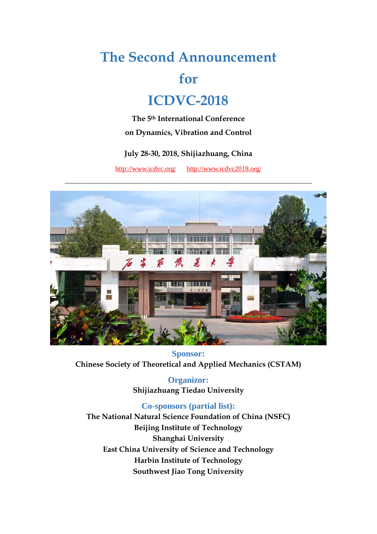# **The Second Announcement**

# **for**

# **ICDVC-2018**

**The 5th International Conference on Dynamics, Vibration and Control** 

#### **July 28-30, 2018, Shijiazhuang, China**

http://www.icdvc.org/ http://www.icdvc2018.org/



**Sponsor: Chinese Society of Theoretical and Applied Mechanics (CSTAM)** 

> **Organizor: Shijiazhuang Tiedao University**

**Co-sponsors (partial list): The National Natural Science Foundation of China (NSFC) Beijing Institute of Technology Shanghai University East China University of Science and Technology Harbin Institute of Technology Southwest Jiao Tong University**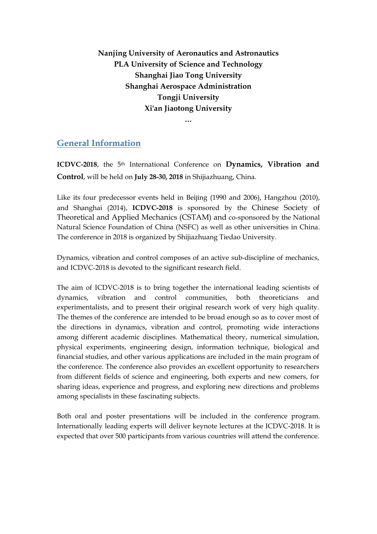**Nanjing University of Aeronautics and Astronautics PLA University of Science and Technology Shanghai Jiao Tong University Shanghai Aerospace Administration Tongji University Xi'an Jiaotong University**

#### **…**

# **General Information**

**ICDVC-2018**, the 5th International Conference on **Dynamics, Vibration and Control**, will be held on **July 28-30, 2018** in Shijiazhuang, China.

Like its four predecessor events held in Beijing (1990 and 2006), Hangzhou (2010), and Shanghai (2014), **ICDVC-2018** is sponsored by the Chinese Society of Theoretical and Applied Mechanics (CSTAM) and co-sponsored by the National Natural Science Foundation of China (NSFC) as well as other universities in China. The conference in 2018 is organized by Shijiazhuang Tiedao University.

Dynamics, vibration and control composes of an active sub-discipline of mechanics, and ICDVC-2018 is devoted to the significant research field.

The aim of ICDVC-2018 is to bring together the international leading scientists of dynamics, vibration and control communities, both theoreticians experimentalists, and to present their original research work of very high quality. The themes of the conference are intended to be broad enough so as to cover most of the directions in dynamics, vibration and control, promoting wide interactions among different academic disciplines. Mathematical theory, numerical simulation, physical experiments, engineering design, information technique, biological and financial studies, and other various applications are included in the main program of the conference. The conference also provides an excellent opportunity to researchers from different fields of science and engineering, both experts and new comers, for sharing ideas, experience and progress, and exploring new directions and problems among specialists in these fascinating subjects.

Both oral and poster presentations will be included in the conference program. Internationally leading experts will deliver keynote lectures at the ICDVC-2018. It is expected that over 500 participants from various countries will attend the conference.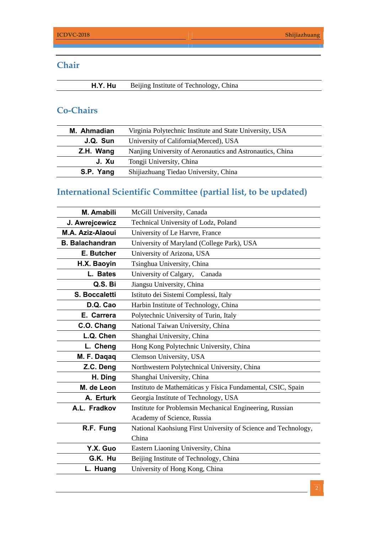# **Chair**

# **Co-Chairs**

| M. Ahmadian | Virginia Polytechnic Institute and State University, USA  |
|-------------|-----------------------------------------------------------|
| J.Q. Sun    | University of California (Merced), USA                    |
| Z.H. Wang   | Nanjing University of Aeronautics and Astronautics, China |
| J. Xu       | Tongji University, China                                  |
| S.P. Yang   | Shijiazhuang Tiedao University, China                     |

# **International Scientific Committee (partial list, to be updated)**

| M. Amabili              | McGill University, Canada                                      |
|-------------------------|----------------------------------------------------------------|
| J. Awrejcewicz          | Technical University of Lodz, Poland                           |
| <b>M.A. Aziz-Alaoui</b> | University of Le Harvre, France                                |
| <b>B. Balachandran</b>  | University of Maryland (College Park), USA                     |
| E. Butcher              | University of Arizona, USA                                     |
| H.X. Baoyin             | Tsinghua University, China                                     |
| L. Bates                | University of Calgary, Canada                                  |
| Q.S. Bi                 | Jiangsu University, China                                      |
| <b>S. Boccaletti</b>    | Istituto dei Sistemi Complessi, Italy                          |
| D.Q. Cao                | Harbin Institute of Technology, China                          |
| E. Carrera              | Polytechnic University of Turin, Italy                         |
| C.O. Chang              | National Taiwan University, China                              |
| L.Q. Chen               | Shanghai University, China                                     |
| L. Cheng                | Hong Kong Polytechnic University, China                        |
| M. F. Daqaq             | Clemson University, USA                                        |
| Z.C. Deng               | Northwestern Polytechnical University, China                   |
| H. Ding                 | Shanghai University, China                                     |
| M. de Leon              | Instituto de Mathemáticas y Física Fundamental, CSIC, Spain    |
| A. Erturk               | Georgia Institute of Technology, USA                           |
| A.L. Fradkov            | Institute for Problemsin Mechanical Engineering, Russian       |
|                         | Academy of Science, Russia                                     |
| R.F. Fung               | National Kaohsiung First University of Science and Technology, |
|                         | China                                                          |
| Y.X. Guo                | Eastern Liaoning University, China                             |
| G.K. Hu                 | Beijing Institute of Technology, China                         |
| L. Huang                | University of Hong Kong, China                                 |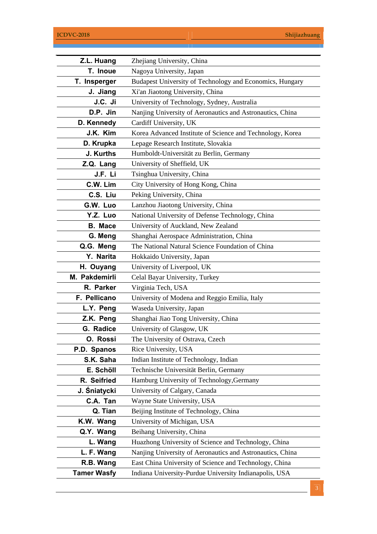| Z.L. Huang         | Zhejiang University, China                                |  |
|--------------------|-----------------------------------------------------------|--|
| T. Inoue           | Nagoya University, Japan                                  |  |
| T. Insperger       | Budapest University of Technology and Economics, Hungary  |  |
| J. Jiang           | Xi'an Jiaotong University, China                          |  |
| J.C. Ji            | University of Technology, Sydney, Australia               |  |
| D.P. Jin           | Nanjing University of Aeronautics and Astronautics, China |  |
| D. Kennedy         | Cardiff University, UK                                    |  |
| J.K. Kim           | Korea Advanced Institute of Science and Technology, Korea |  |
| D. Krupka          | Lepage Research Institute, Slovakia                       |  |
| J. Kurths          | Humboldt-Universität zu Berlin, Germany                   |  |
| Z.Q. Lang          | University of Sheffield, UK                               |  |
| J.F. Li            | Tsinghua University, China                                |  |
| C.W. Lim           | City University of Hong Kong, China                       |  |
| C.S. Liu           | Peking University, China                                  |  |
| G.W. Luo           | Lanzhou Jiaotong University, China                        |  |
| Y.Z. Luo           | National University of Defense Technology, China          |  |
| <b>B.</b> Mace     | University of Auckland, New Zealand                       |  |
| G. Meng            | Shanghai Aerospace Administration, China                  |  |
| Q.G. Meng          | The National Natural Science Foundation of China          |  |
| Y. Narita          | Hokkaido University, Japan                                |  |
| H. Ouyang          | University of Liverpool, UK                               |  |
| M. Pakdemirli      | Celal Bayar University, Turkey                            |  |
| R. Parker          | Virginia Tech, USA                                        |  |
| F. Pellicano       | University of Modena and Reggio Emilia, Italy             |  |
| L.Y. Peng          | Waseda University, Japan                                  |  |
| Z.K. Peng          | Shanghai Jiao Tong University, China                      |  |
| G. Radice          | University of Glasgow, UK                                 |  |
| O. Rossi           | The University of Ostrava, Czech                          |  |
| P.D. Spanos        | Rice University, USA                                      |  |
| S.K. Saha          | Indian Institute of Technology, Indian                    |  |
| E. Schöll          | Technische Universität Berlin, Germany                    |  |
| R. Seifried        | Hamburg University of Technology, Germany                 |  |
| J. Śniatycki       | University of Calgary, Canada                             |  |
| C.A. Tan           | Wayne State University, USA                               |  |
| Q. Tian            | Beijing Institute of Technology, China                    |  |
| K.W. Wang          | University of Michigan, USA                               |  |
| Q.Y. Wang          | Beihang University, China                                 |  |
| L. Wang            | Huazhong University of Science and Technology, China      |  |
| L. F. Wang         | Nanjing University of Aeronautics and Astronautics, China |  |
| R.B. Wang          | East China University of Science and Technology, China    |  |
| <b>Tamer Wasfy</b> | Indiana University-Purdue University Indianapolis, USA    |  |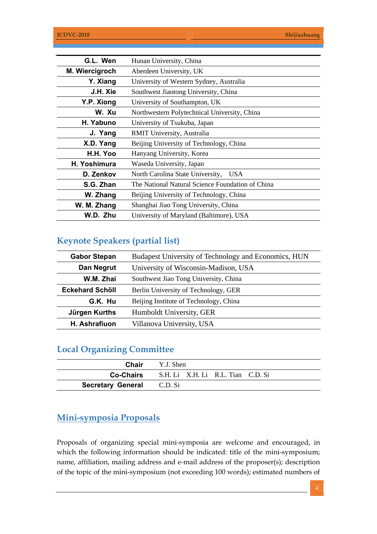| G.L. Wen       | Hunan University, China                          |
|----------------|--------------------------------------------------|
| M. Wiercigroch | Aberdeen University, UK                          |
| Y. Xiang       | University of Western Sydney, Australia          |
| J.H. Xie       | Southwest Jiaotong University, China             |
| Y.P. Xiong     | University of Southampton, UK                    |
| W. Xu          | Northwestern Polytechnical University, China     |
| H. Yabuno      | University of Tsukuba, Japan                     |
| J. Yang        | RMIT University, Australia                       |
| X.D. Yang      | Beijing University of Technology, China          |
| H.H. Yoo       | Hanyang University, Korea                        |
| H. Yoshimura   | Waseda University, Japan                         |
| D. Zenkov      | North Carolina State University,<br><b>USA</b>   |
| S.G. Zhan      | The National Natural Science Foundation of China |
| W. Zhang       | Beijing University of Technology, China          |
| W. M. Zhang    | Shanghai Jiao Tong University, China             |
| W.D. Zhu       | University of Maryland (Baltimore), USA          |

# **Keynote Speakers (partial list)**

| <b>Gabor Stepan</b>    | Budapest University of Technology and Economics, HUN |
|------------------------|------------------------------------------------------|
| Dan Negrut             | University of Wisconsin-Madison, USA                 |
| W.M. Zhai              | Southwest Jiao Tong University, China                |
| <b>Eckehard Schöll</b> | Berlin University of Technology, GER                 |
| G.K. Hu                | Beijing Institute of Technology, China               |
| Jürgen Kurths          | Humboldt University, GER                             |
| H. Ashrafiuon          | Villanova University, USA                            |

# **Local Organizing Committee**

|                                  | <b>Chair</b> Y.J. Shen                             |
|----------------------------------|----------------------------------------------------|
|                                  | <b>Co-Chairs</b> S.H. Li X.H. Li R.L. Tian C.D. Si |
| <b>Secretary General</b> C.D. Si |                                                    |

### **Mini-symposia Proposals**

Proposals of organizing special mini-symposia are welcome and encouraged, in which the following information should be indicated: title of the mini-symposium; name, affiliation, mailing address and e-mail address of the proposer(s); description of the topic of the mini-symposium (not exceeding 100 words); estimated numbers of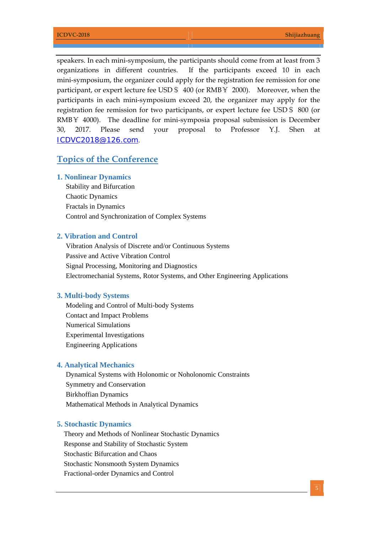speakers. In each mini-symposium, the participants should come from at least from 3 organizations in different countries. If the participants exceed 10 in each mini-symposium, the organizer could apply for the registration fee remission for one participant, or expert lecture fee USD\$ 400 (or RMB¥ 2000). Moreover, when the participants in each mini-symposium exceed 20, the organizer may apply for the registration fee remission for two participants, or expert lecture fee USD\$ 800 (or RMB¥ 4000). The deadline for mini-symposia proposal submission is December 30, 2017. Please send your proposal to Professor Y.J. Shen at ICDVC2018@126.com.

#### **Topics of the Conference**

#### **1. Nonlinear Dynamics**

Stability and Bifurcation Chaotic Dynamics Fractals in Dynamics Control and Synchronization of Complex Systems

#### **2. Vibration and Control**

Vibration Analysis of Discrete and/or Continuous Systems Passive and Active Vibration Control Signal Processing, Monitoring and Diagnostics Electromechanial Systems, Rotor Systems, and Other Engineering Applications

#### **3. Multi-body Systems**

Modeling and Control of Multi-body Systems Contact and Impact Problems Numerical Simulations Experimental Investigations Engineering Applications

#### **4. Analytical Mechanics**

Dynamical Systems with Holonomic or Noholonomic Constraints Symmetry and Conservation Birkhoffian Dynamics Mathematical Methods in Analytical Dynamics

#### **5. Stochastic Dynamics**

 Theory and Methods of Nonlinear Stochastic Dynamics Response and Stability of Stochastic System Stochastic Bifurcation and Chaos Stochastic Nonsmooth System Dynamics Fractional-order Dynamics and Control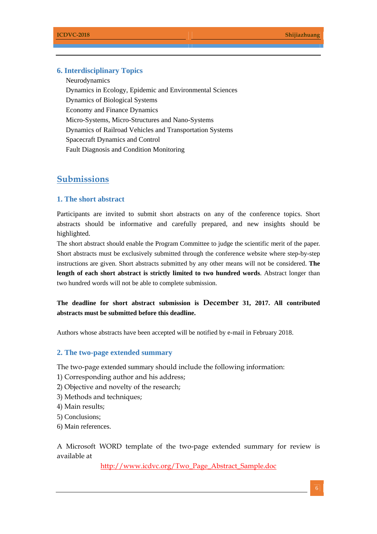#### **6. Interdisciplinary Topics**

Neurodynamics Dynamics in Ecology, Epidemic and Environmental Sciences Dynamics of Biological Systems Economy and Finance Dynamics Micro-Systems, Micro-Structures and Nano-Systems Dynamics of Railroad Vehicles and Transportation Systems Spacecraft Dynamics and Control Fault Diagnosis and Condition Monitoring

#### **Submissions**

#### **1. The short abstract**

Participants are invited to submit short abstracts on any of the conference topics. Short abstracts should be informative and carefully prepared, and new insights should be highlighted.

The short abstract should enable the Program Committee to judge the scientific merit of the paper. Short abstracts must be exclusively submitted through the conference website where step-by-step instructions are given. Short abstracts submitted by any other means will not be considered. **The length of each short abstract is strictly limited to two hundred words**. Abstract longer than two hundred words will not be able to complete submission.

**The deadline for short abstract submission is December 31, 2017. All contributed abstracts must be submitted before this deadline.** 

Authors whose abstracts have been accepted will be notified by e-mail in February 2018.

#### **2. The two-page extended summary**

The two-page extended summary should include the following information:

- 1) Corresponding author and his address;
- 2) Objective and novelty of the research;
- 3) Methods and techniques;
- 4) Main results;
- 5) Conclusions;
- 6) Main references.

A Microsoft WORD template of the two-page extended summary for review is available at

http://www.icdvc.org/Two\_Page\_Abstract\_Sample.doc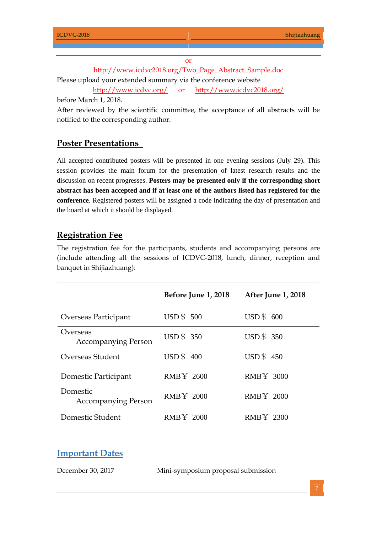or

http://www.icdvc2018.org/Two\_Page\_Abstract\_Sample.doc Please upload your extended summary via the conference website http://www.icdvc.org/ or http://www.icdvc2018.org/

before March 1, 2018.

After reviewed by the scientific committee, the acceptance of all abstracts will be notified to the corresponding author.

### **Poster Presentations**

All accepted contributed posters will be presented in one evening sessions (July 29). This session provides the main forum for the presentation of latest research results and the discussion on recent progresses. **Posters may be presented only if the corresponding short abstract has been accepted and if at least one of the authors listed has registered for the conference**. Registered posters will be assigned a code indicating the day of presentation and the board at which it should be displayed.

## **Registration Fee**

The registration fee for the participants, students and accompanying persons are (include attending all the sessions of ICDVC-2018, lunch, dinner, reception and banquet in Shijiazhuang):

|                                        | <b>Before June 1, 2018</b> | <b>After June 1, 2018</b> |
|----------------------------------------|----------------------------|---------------------------|
| Overseas Participant                   | <b>USD \$500</b>           | $\text{USD} \, \$ 600$    |
| Overseas<br><b>Accompanying Person</b> | <b>USD</b> \$ 350          | <b>USD</b> \$ 350         |
| Overseas Student                       | <b>USD</b> \$400           | <b>USD</b> \$450          |
| Domestic Participant                   | <b>RMBY 2600</b>           | <b>RMBY 3000</b>          |
| Domestic<br><b>Accompanying Person</b> | <b>RMBY 2000</b>           | <b>RMBY 2000</b>          |
| Domestic Student                       | RMBY 2000                  | RMBY 2300                 |

#### **Important Dates**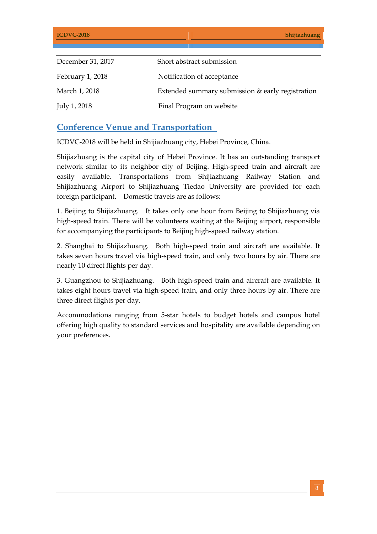| December 31, 2017 | Short abstract submission                        |
|-------------------|--------------------------------------------------|
| February 1, 2018  | Notification of acceptance                       |
| March 1, 2018     | Extended summary submission & early registration |
| July 1, 2018      | Final Program on website                         |

## **Conference Venue and Transportation**

ICDVC-2018 will be held in Shijiazhuang city, Hebei Province, China.

Shijiazhuang is the capital city of Hebei Province. It has an outstanding transport network similar to its neighbor city of Beijing. High-speed train and aircraft are easily available. Transportations from Shijiazhuang Railway Station and Shijiazhuang Airport to Shijiazhuang Tiedao University are provided for each foreign participant. Domestic travels are as follows:

1. Beijing to Shijiazhuang. It takes only one hour from Beijing to Shijiazhuang via high-speed train. There will be volunteers waiting at the Beijing airport, responsible for accompanying the participants to Beijing high-speed railway station.

2. Shanghai to Shijiazhuang. Both high-speed train and aircraft are available. It takes seven hours travel via high-speed train, and only two hours by air. There are nearly 10 direct flights per day.

3. Guangzhou to Shijiazhuang. Both high-speed train and aircraft are available. It takes eight hours travel via high-speed train, and only three hours by air. There are three direct flights per day.

Accommodations ranging from 5-star hotels to budget hotels and campus hotel offering high quality to standard services and hospitality are available depending on your preferences.